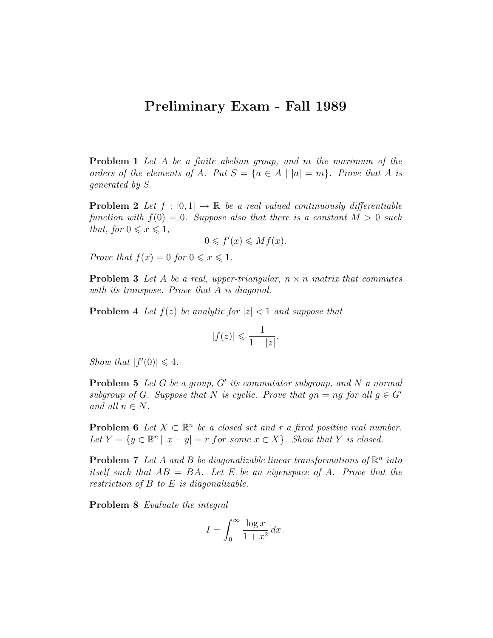## Preliminary Exam - Fall 1989

Problem 1 Let A be a finite abelian group, and m the maximum of the orders of the elements of A. Put  $S = \{a \in A \mid |a| = m\}$ . Prove that A is generated by S.

**Problem 2** Let  $f : [0,1] \rightarrow \mathbb{R}$  be a real valued continuously differentiable function with  $f(0) = 0$ . Suppose also that there is a constant  $M > 0$  such that, for  $0 \leqslant x \leqslant 1$ ,

$$
0 \leqslant f'(x) \leqslant Mf(x).
$$

Prove that  $f(x) = 0$  for  $0 \le x \le 1$ .

**Problem 3** Let A be a real, upper-triangular,  $n \times n$  matrix that commutes with its transpose. Prove that A is diagonal.

**Problem 4** Let  $f(z)$  be analytic for  $|z| < 1$  and suppose that

$$
|f(z)| \leqslant \frac{1}{1-|z|}.
$$

Show that  $|f'(0)| \leq 4$ .

**Problem 5** Let  $G$  be a group,  $G'$  its commutator subgroup, and  $N$  a normal subgroup of G. Suppose that N is cyclic. Prove that  $qn = nq$  for all  $q \in G'$ and all  $n \in N$ .

**Problem 6** Let  $X \subset \mathbb{R}^n$  be a closed set and r a fixed positive real number. Let  $Y = \{y \in \mathbb{R}^n \mid |x - y| = r \text{ for some } x \in X\}$ . Show that Y is closed.

**Problem 7** Let A and B be diagonalizable linear transformations of  $\mathbb{R}^n$  into itself such that  $AB = BA$ . Let E be an eigenspace of A. Prove that the restriction of  $B$  to  $E$  is diagonalizable.

Problem 8 Evaluate the integral

$$
I = \int_0^\infty \frac{\log x}{1 + x^2} \, dx \, .
$$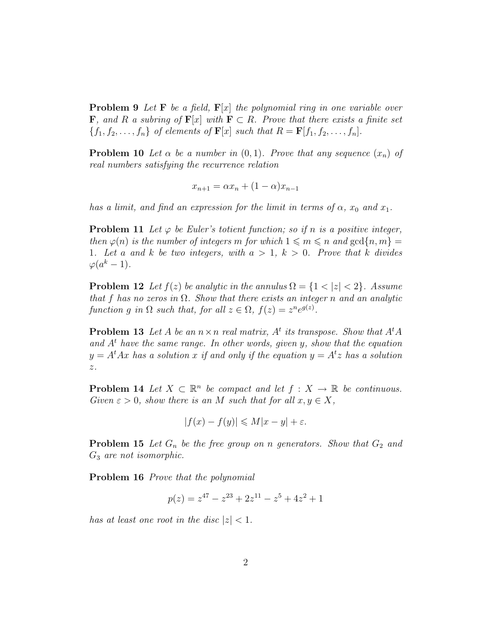**Problem 9** Let **F** be a field,  $\mathbf{F}[x]$  the polynomial ring in one variable over **F**, and R a subring of  $\mathbf{F}[x]$  with  $\mathbf{F} \subset R$ . Prove that there exists a finite set  ${f_1, f_2, \ldots, f_n}$  of elements of  $\mathbf{F}[x]$  such that  $R = \mathbf{F}[f_1, f_2, \ldots, f_n]$ .

**Problem 10** Let  $\alpha$  be a number in  $(0,1)$ . Prove that any sequence  $(x_n)$  of real numbers satisfying the recurrence relation

$$
x_{n+1} = \alpha x_n + (1 - \alpha)x_{n-1}
$$

has a limit, and find an expression for the limit in terms of  $\alpha$ ,  $x_0$  and  $x_1$ .

**Problem 11** Let  $\varphi$  be Euler's totient function; so if n is a positive integer, then  $\varphi(n)$  is the number of integers m for which  $1 \leq m \leq n$  and  $gcd\{n, m\} =$ 1. Let a and k be two integers, with  $a > 1$ ,  $k > 0$ . Prove that k divides  $\varphi(a^k-1)$ .

**Problem 12** Let  $f(z)$  be analytic in the annulus  $\Omega = \{1 < |z| < 2\}$ . Assume that f has no zeros in  $\Omega$ . Show that there exists an integer n and an analytic function g in  $\Omega$  such that, for all  $z \in \Omega$ ,  $f(z) = z^n e^{g(z)}$ .

**Problem 13** Let A be an  $n \times n$  real matrix,  $A^t$  its transpose. Show that  $A^t A$ and  $A<sup>t</sup>$  have the same range. In other words, given y, show that the equation  $y = A<sup>t</sup>Ax$  has a solution x if and only if the equation  $y = A<sup>t</sup>z$  has a solution z.

**Problem 14** Let  $X \subset \mathbb{R}^n$  be compact and let  $f : X \to \mathbb{R}$  be continuous. Given  $\varepsilon > 0$ , show there is an M such that for all  $x, y \in X$ ,

$$
|f(x) - f(y)| \le M|x - y| + \varepsilon.
$$

**Problem 15** Let  $G_n$  be the free group on n generators. Show that  $G_2$  and  $G_3$  are not isomorphic.

Problem 16 Prove that the polynomial

$$
p(z) = z^{47} - z^{23} + 2z^{11} - z^5 + 4z^2 + 1
$$

has at least one root in the disc  $|z| < 1$ .